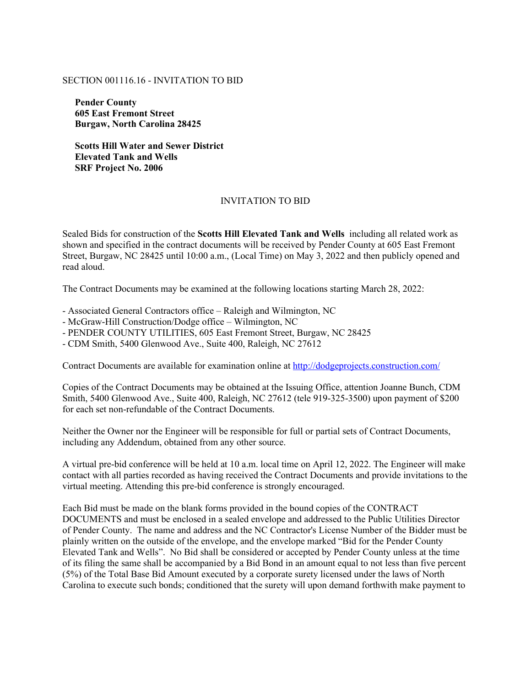## SECTION 001116.16 - INVITATION TO BID

**Pender County 605 East Fremont Street Burgaw, North Carolina 28425** 

**Scotts Hill Water and Sewer District Elevated Tank and Wells SRF Project No. 2006** 

## INVITATION TO BID

Sealed Bids for construction of the **Scotts Hill Elevated Tank and Wells** including all related work as shown and specified in the contract documents will be received by Pender County at 605 East Fremont Street, Burgaw, NC 28425 until 10:00 a.m., (Local Time) on May 3, 2022 and then publicly opened and read aloud.

The Contract Documents may be examined at the following locations starting March 28, 2022:

- Associated General Contractors office – Raleigh and Wilmington, NC

- McGraw-Hill Construction/Dodge office – Wilmington, NC

- PENDER COUNTY UTILITIES, 605 East Fremont Street, Burgaw, NC 28425

- CDM Smith, 5400 Glenwood Ave., Suite 400, Raleigh, NC 27612

Contract Documents are available for examination online at http://dodgeprojects.construction.com/

Copies of the Contract Documents may be obtained at the Issuing Office, attention Joanne Bunch, CDM Smith, 5400 Glenwood Ave., Suite 400, Raleigh, NC 27612 (tele 919-325-3500) upon payment of \$200 for each set non-refundable of the Contract Documents.

Neither the Owner nor the Engineer will be responsible for full or partial sets of Contract Documents, including any Addendum, obtained from any other source.

A virtual pre-bid conference will be held at 10 a.m. local time on April 12, 2022. The Engineer will make contact with all parties recorded as having received the Contract Documents and provide invitations to the virtual meeting. Attending this pre-bid conference is strongly encouraged.

Each Bid must be made on the blank forms provided in the bound copies of the CONTRACT DOCUMENTS and must be enclosed in a sealed envelope and addressed to the Public Utilities Director of Pender County. The name and address and the NC Contractor's License Number of the Bidder must be plainly written on the outside of the envelope, and the envelope marked "Bid for the Pender County Elevated Tank and Wells". No Bid shall be considered or accepted by Pender County unless at the time of its filing the same shall be accompanied by a Bid Bond in an amount equal to not less than five percent (5%) of the Total Base Bid Amount executed by a corporate surety licensed under the laws of North Carolina to execute such bonds; conditioned that the surety will upon demand forthwith make payment to